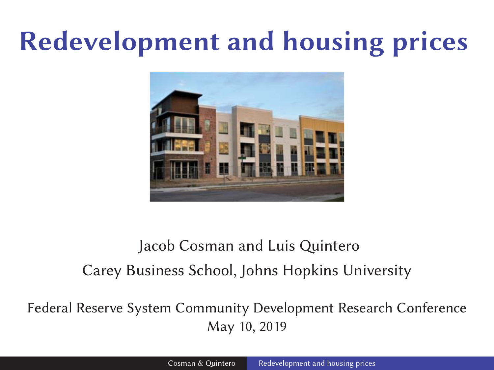# **Redevelopment and housing prices**



#### Jacob Cosman and Luis Quintero Carey Business School, Johns Hopkins University

Federal Reserve System Community Development Research Conference May 10, 2019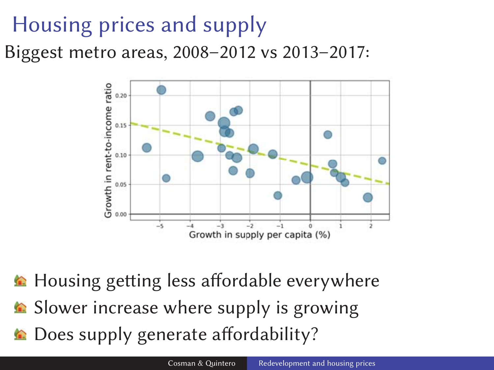### Housing prices and supply

Biggest metro areas, 2008–2012 vs 2013–2017:



**E** Housing getting less affordable everywhere Slower increase where supply is growing **■ Does supply generate affordability?**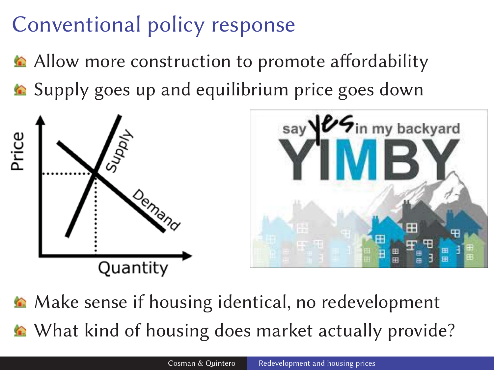## Conventional policy response

- Allow more construction to promote affordability
- **■** Supply goes up and equilibrium price goes down



A Make sense if housing identical, no redevelopment What kind of housing does market actually provide?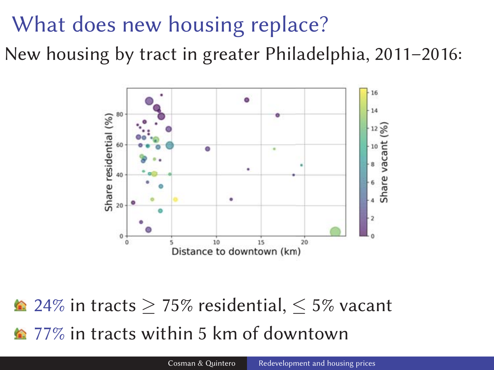#### What does new housing replace?

New housing by tract in greater Philadelphia, 2011–2016:



 $\triangle$  24% in tracts > 75% residential,  $\leq$  5% vacant **12** 77% in tracts within 5 km of downtown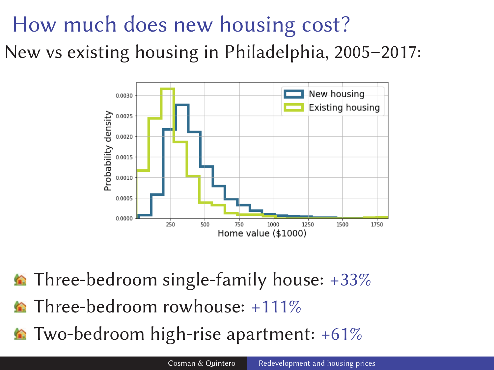### How much does new housing cost? New vs existing housing in Philadelphia, 2005–2017:



- $\triangle$  Three-bedroom single-family house: +33%
- **Three-bedroom rowhouse:** +111%
- Two-bedroom high-rise apartment: +61%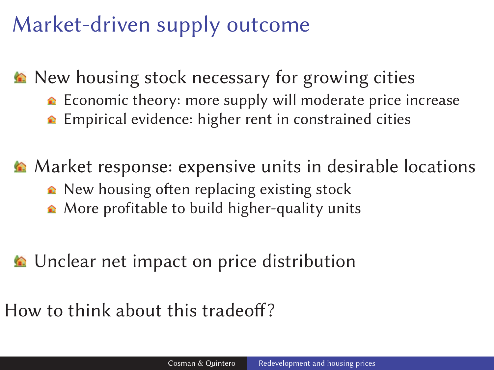### Market-driven supply outcome

▲ New housing stock necessary for growing cities

- $\triangle$  Economic theory: more supply will moderate price increase
- **E**mpirical evidence: higher rent in constrained cities

Market response: expensive units in desirable locations

- $\triangle$  New housing often replacing existing stock
- **■** More profitable to build higher-quality units

**■** Unclear net impact on price distribution

How to think about this tradeoff?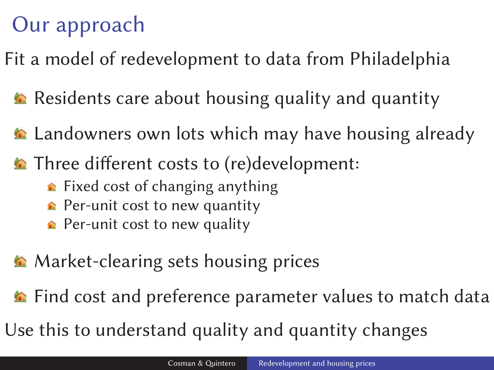### Our approach

Fit a model of redevelopment to data from Philadelphia

- Residents care about housing quality and quantity
- **E** Landowners own lots which may have housing already
- **Three different costs to (re)development:** 
	- $\triangle$  Fixed cost of changing anything
	- $\triangle$  Per-unit cost to new quantity
	- $\triangle$  Per-unit cost to new quality
- **Market-clearing sets housing prices**
- Find cost and preference parameter values to match data

Use this to understand quality and quantity changes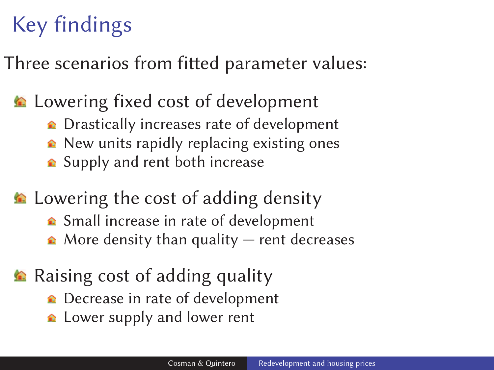## Key findings

Three scenarios from fitted parameter values:

#### **E** Lowering fixed cost of development

- **↑** Drastically increases rate of development
- $\triangle$  New units rapidly replacing existing ones
- **■** Supply and rent both increase

**E** Lowering the cost of adding density

- **■** Small increase in rate of development
- $\triangle$  More density than quality rent decreases

#### **Raising cost of adding quality**

- **■** Decrease in rate of development
- **△** Lower supply and lower rent